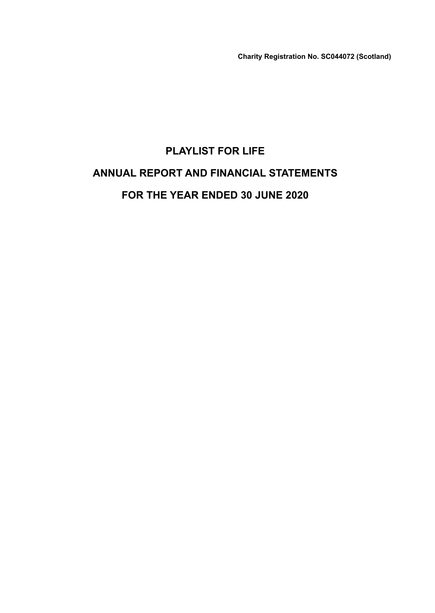**Charity Registration No. SC044072 (Scotland)**

# **PLAYLIST FOR LIFE ANNUAL REPORT AND FINANCIAL STATEMENTS FOR THE YEAR ENDED 30 JUNE 2020**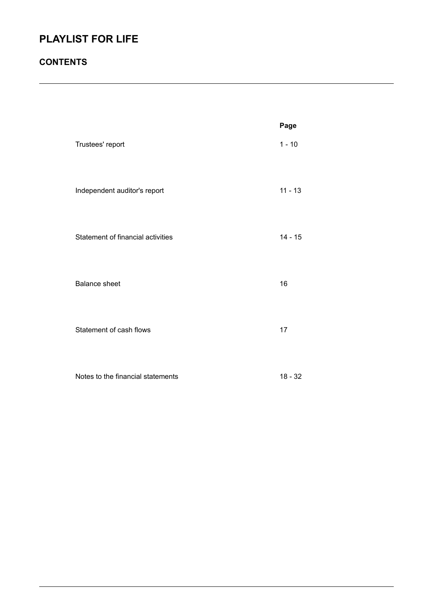### **CONTENTS**

|                                   | Page      |
|-----------------------------------|-----------|
| Trustees' report                  | $1 - 10$  |
| Independent auditor's report      | $11 - 13$ |
| Statement of financial activities | $14 - 15$ |
| <b>Balance sheet</b>              | 16        |
| Statement of cash flows           | 17        |
| Notes to the financial statements | $18 - 32$ |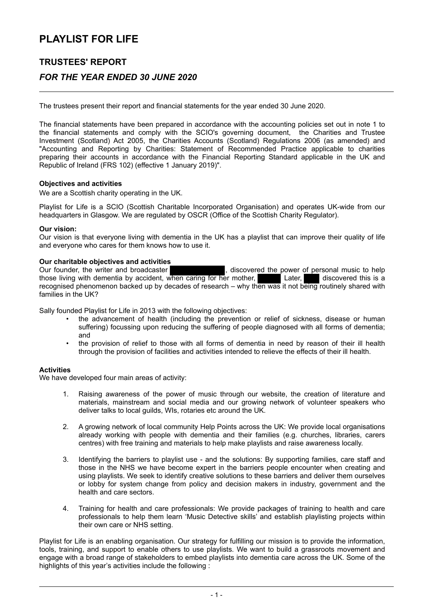### **TRUSTEES' REPORT**

### *FOR THE YEAR ENDED 30 JUNE 2020*

The trustees present their report and financial statements for the year ended 30 June 2020.

The financial statements have been prepared in accordance with the accounting policies set out in note 1 to the financial statements and comply with the SCIO's governing document, the Charities and Trustee Investment (Scotland) Act 2005, the Charities Accounts (Scotland) Regulations 2006 (as amended) and "Accounting and Reporting by Charities: Statement of Recommended Practice applicable to charities preparing their accounts in accordance with the Financial Reporting Standard applicable in the UK and Republic of Ireland (FRS 102) (effective 1 January 2019)".

#### **Objectives and activities**

We are a Scottish charity operating in the UK.

Playlist for Life is a SCIO (Scottish Charitable Incorporated Organisation) and operates UK-wide from our headquarters in Glasgow. We are regulated by OSCR (Office of the Scottish Charity Regulator).

#### **Our vision:**

Our vision is that everyone living with dementia in the UK has a playlist that can improve their quality of life and everyone who cares for them knows how to use it.

**Our charitable objectives and activities** , discovered the power of personal music to help er mother,  $\Box$  Later,  $\Box$  discovered this is a those living with dementia by accident, when caring for her mother, recognised phenomenon backed up by decades of research – why then was it not being routinely shared with families in the UK?

Sally founded Playlist for Life in 2013 with the following objectives:

- the advancement of health (including the prevention or relief of sickness, disease or human suffering) focussing upon reducing the suffering of people diagnosed with all forms of dementia; and
- the provision of relief to those with all forms of dementia in need by reason of their ill health through the provision of facilities and activities intended to relieve the effects of their ill health.

### **Activities**

We have developed four main areas of activity:

- 1. Raising awareness of the power of music through our website, the creation of literature and materials, mainstream and social media and our growing network of volunteer speakers who deliver talks to local guilds, WIs, rotaries etc around the UK.
- 2. A growing network of local community Help Points across the UK: We provide local organisations already working with people with dementia and their families (e.g. churches, libraries, carers centres) with free training and materials to help make playlists and raise awareness locally.
- 3. Identifying the barriers to playlist use and the solutions: By supporting families, care staff and those in the NHS we have become expert in the barriers people encounter when creating and using playlists. We seek to identify creative solutions to these barriers and deliver them ourselves or lobby for system change from policy and decision makers in industry, government and the health and care sectors.
- 4. Training for health and care professionals: We provide packages of training to health and care professionals to help them learn 'Music Detective skills' and establish playlisting projects within their own care or NHS setting.

Playlist for Life is an enabling organisation. Our strategy for fulfilling our mission is to provide the information, tools, training, and support to enable others to use playlists. We want to build a grassroots movement and engage with a broad range of stakeholders to embed playlists into dementia care across the UK. Some of the highlights of this year's activities include the following :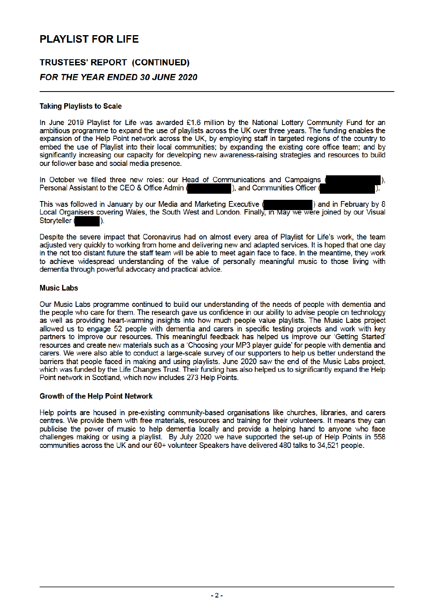### **TRUSTEES' REPORT (CONTINUED)** FOR THE YEAR ENDED 30 JUNE 2020

### **Taking Playlists to Scale**

In June 2019 Playlist for Life was awarded £1.6 million by the National Lottery Community Fund for an ambitious programme to expand the use of playlists across the UK over three years. The funding enables the expansion of the Help Point network across the UK, by employing staff in targeted regions of the country to embed the use of Playlist into their local communities; by expanding the existing core office team; and by significantly increasing our capacity for developing new awareness-raising strategies and resources to build our follower base and social media presence.

In October we filled three new roles: our Head of Communications and Campaigns ( ), Personal Assistant to the CEO & Office Admin ( ), and Communities Officer (

This was followed in January by our Media and Marketing Executive ) and in February by 8 Local Organisers covering Wales, the South West and London. Finally, in May we were joined by our Visual Storvteller

Despite the severe impact that Coronavirus had on almost every area of Playlist for Life's work, the team adjusted very quickly to working from home and delivering new and adapted services. It is hoped that one day in the not too distant future the staff team will be able to meet again face to face. In the meantime, they work to achieve widespread understanding of the value of personally meaningful music to those living with dementia through powerful advocacy and practical advice.

#### **Music Labs**

Our Music Labs programme continued to build our understanding of the needs of people with dementia and the people who care for them. The research gave us confidence in our ability to advise people on technology as well as providing heart-warming insights into how much people value playlists. The Music Labs project allowed us to engage 52 people with dementia and carers in specific testing projects and work with key partners to improve our resources. This meaningful feedback has helped us improve our 'Getting Started' resources and create new materials such as a 'Choosing your MP3 player guide' for people with dementia and carers. We were also able to conduct a large-scale survey of our supporters to help us better understand the barriers that people faced in making and using playlists. June 2020 saw the end of the Music Labs project, which was funded by the Life Changes Trust. Their funding has also helped us to significantly expand the Help Point network in Scotland, which now includes 273 Help Points.

### **Growth of the Help Point Network**

Help points are housed in pre-existing community-based organisations like churches, libraries, and carers centres. We provide them with free materials, resources and training for their volunteers. It means they can publicise the power of music to help dementia locally and provide a helping hand to anyone who face challenges making or using a playlist. By July 2020 we have supported the set-up of Help Points in 558 communities across the UK and our 60+ volunteer Speakers have delivered 480 talks to 34.521 people.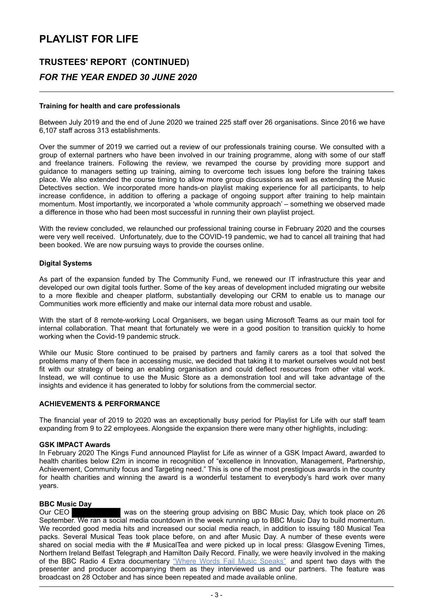### **TRUSTEES' REPORT (CONTINUED)** *FOR THE YEAR ENDED 30 JUNE 2020*

#### **Training for health and care professionals**

Between July 2019 and the end of June 2020 we trained 225 staff over 26 organisations. Since 2016 we have 6,107 staff across 313 establishments.

Over the summer of 2019 we carried out a review of our professionals training course. We consulted with a group of external partners who have been involved in our training programme, along with some of our staff and freelance trainers. Following the review, we revamped the course by providing more support and guidance to managers setting up training, aiming to overcome tech issues long before the training takes place. We also extended the course timing to allow more group discussions as well as extending the Music Detectives section. We incorporated more hands-on playlist making experience for all participants, to help increase confidence, in addition to offering a package of ongoing support after training to help maintain momentum. Most importantly, we incorporated a 'whole community approach' – something we observed made a difference in those who had been most successful in running their own playlist project.

With the review concluded, we relaunched our professional training course in February 2020 and the courses were very well received. Unfortunately, due to the COVID-19 pandemic, we had to cancel all training that had been booked. We are now pursuing ways to provide the courses online.

#### **Digital Systems**

As part of the expansion funded by The Community Fund, we renewed our IT infrastructure this year and developed our own digital tools further. Some of the key areas of development included migrating our website to a more flexible and cheaper platform, substantially developing our CRM to enable us to manage our Communities work more efficiently and make our internal data more robust and usable.

With the start of 8 remote-working Local Organisers, we began using Microsoft Teams as our main tool for internal collaboration. That meant that fortunately we were in a good position to transition quickly to home working when the Covid-19 pandemic struck.

While our Music Store continued to be praised by partners and family carers as a tool that solved the problems many of them face in accessing music, we decided that taking it to market ourselves would not best fit with our strategy of being an enabling organisation and could deflect resources from other vital work. Instead, we will continue to use the Music Store as a demonstration tool and will take advantage of the insights and evidence it has generated to lobby for solutions from the commercial sector.

#### **ACHIEVEMENTS & PERFORMANCE**

The financial year of 2019 to 2020 was an exceptionally busy period for Playlist for Life with our staff team expanding from 9 to 22 employees. Alongside the expansion there were many other highlights, including:

#### **GSK IMPACT Awards**

In February 2020 The Kings Fund announced Playlist for Life as winner of a GSK Impact Award, awarded to health charities below £2m in income in recognition of "excellence in Innovation, Management, Partnership, Achievement, Community focus and Targeting need." This is one of the most prestigious awards in the country for health charities and winning the award is a wonderful testament to everybody's hard work over many years.

### **BBC Music Day**

Our CEO was on the steering group advising on BBC Music Day, which took place on 26 September. We ran a social media countdown in the week running up to BBC Music Day to build momentum. We recorded good media hits and increased our social media reach, in addition to issuing 180 Musical Tea packs. Several Musical Teas took place before, on and after Music Day. A number of these events were shared on social media with the # MusicalTea and were picked up in local press: Glasgow Evening Times, Northern Ireland Belfast Telegraph and Hamilton Daily Record. Finally, we were heavily involved in the making of the BBC Radio 4 Extra documentary "Where Words Fail Music Speaks" and spent two days with the presenter and producer accompanying them as they interviewed us and our partners. The feature was broadcast on 28 October and has since been repeated and made available online.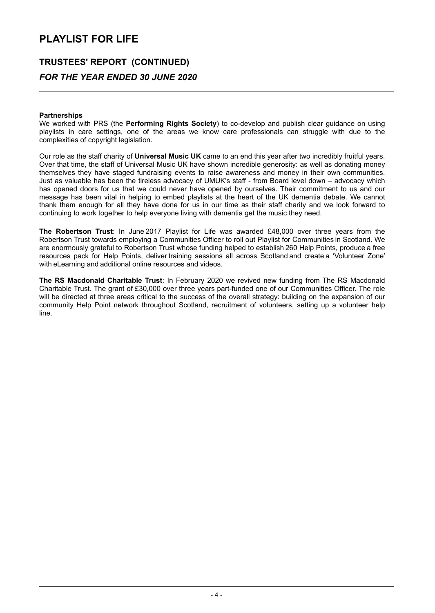### **TRUSTEES' REPORT (CONTINUED)** *FOR THE YEAR ENDED 30 JUNE 2020*

#### **Partnerships**

We worked with PRS (the **Performing Rights Society**) to co-develop and publish clear guidance on using playlists in care settings, one of the areas we know care professionals can struggle with due to the complexities of copyright legislation.

Our role as the staff charity of **Universal Music UK** came to an end this year after two incredibly fruitful years. Over that time, the staff of Universal Music UK have shown incredible generosity: as well as donating money themselves they have staged fundraising events to raise awareness and money in their own communities. Just as valuable has been the tireless advocacy of UMUK's staff - from Board level down – advocacy which has opened doors for us that we could never have opened by ourselves. Their commitment to us and our message has been vital in helping to embed playlists at the heart of the UK dementia debate. We cannot thank them enough for all they have done for us in our time as their staff charity and we look forward to continuing to work together to help everyone living with dementia get the music they need.

**The Robertson Trust**: In June 2017 Playlist for Life was awarded £48,000 over three years from the Robertson Trust towards employing a Communities Officer to roll out Playlist for Communities in Scotland. We are enormously grateful to Robertson Trust whose funding helped to establish 260 Help Points, produce a free resources pack for Help Points, deliver training sessions all across Scotland and create a 'Volunteer Zone' with eLearning and additional online resources and videos.

**The RS Macdonald Charitable Trust**: In February 2020 we revived new funding from The RS Macdonald Charitable Trust. The grant of £30,000 over three years part-funded one of our Communities Officer. The role will be directed at three areas critical to the success of the overall strategy: building on the expansion of our community Help Point network throughout Scotland, recruitment of volunteers, setting up a volunteer help line.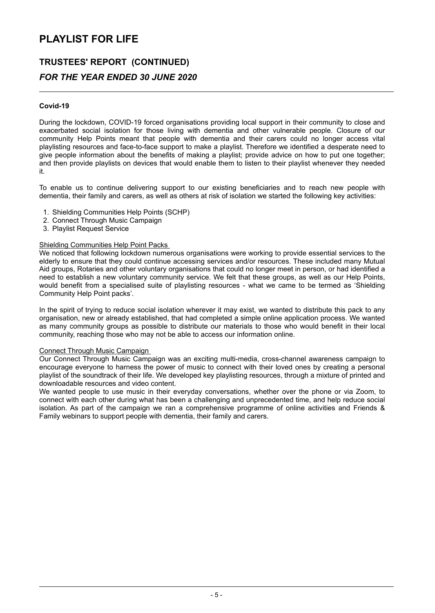### **TRUSTEES' REPORT (CONTINUED)** *FOR THE YEAR ENDED 30 JUNE 2020*

#### **Covid-19**

During the lockdown, COVID-19 forced organisations providing local support in their community to close and exacerbated social isolation for those living with dementia and other vulnerable people. Closure of our community Help Points meant that people with dementia and their carers could no longer access vital playlisting resources and face-to-face support to make a playlist. Therefore we identified a desperate need to give people information about the benefits of making a playlist; provide advice on how to put one together; and then provide playlists on devices that would enable them to listen to their playlist whenever they needed it.

To enable us to continue delivering support to our existing beneficiaries and to reach new people with dementia, their family and carers, as well as others at risk of isolation we started the following key activities:

- 1. Shielding Communities Help Points (SCHP)
- 2. Connect Through Music Campaign
- 3. Playlist Request Service

#### Shielding Communities Help Point Packs

We noticed that following lockdown numerous organisations were working to provide essential services to the elderly to ensure that they could continue accessing services and/or resources. These included many Mutual Aid groups, Rotaries and other voluntary organisations that could no longer meet in person, or had identified a need to establish a new voluntary community service. We felt that these groups, as well as our Help Points, would benefit from a specialised suite of playlisting resources - what we came to be termed as 'Shielding Community Help Point packs'.

In the spirit of trying to reduce social isolation wherever it may exist, we wanted to distribute this pack to any organisation, new or already established, that had completed a simple online application process. We wanted as many community groups as possible to distribute our materials to those who would benefit in their local community, reaching those who may not be able to access our information online.

#### Connect Through Music Campaign

Our Connect Through Music Campaign was an exciting multi-media, cross-channel awareness campaign to encourage everyone to harness the power of music to connect with their loved ones by creating a personal playlist of the soundtrack of their life. We developed key playlisting resources, through a mixture of printed and downloadable resources and video content.

We wanted people to use music in their everyday conversations, whether over the phone or via Zoom, to connect with each other during what has been a challenging and unprecedented time, and help reduce social isolation. As part of the campaign we ran a comprehensive programme of online activities and Friends & Family webinars to support people with dementia, their family and carers.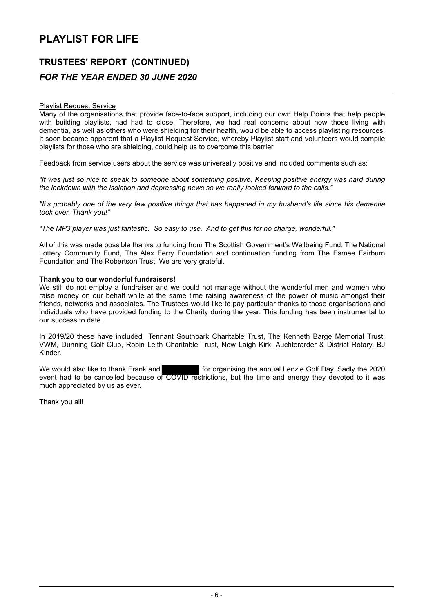### **TRUSTEES' REPORT (CONTINUED)** *FOR THE YEAR ENDED 30 JUNE 2020*

#### Playlist Request Service

Many of the organisations that provide face-to-face support, including our own Help Points that help people with building playlists, had had to close. Therefore, we had real concerns about how those living with dementia, as well as others who were shielding for their health, would be able to access playlisting resources. It soon became apparent that a Playlist Request Service, whereby Playlist staff and volunteers would compile playlists for those who are shielding, could help us to overcome this barrier.

Feedback from service users about the service was universally positive and included comments such as:

"It was just so nice to speak to someone about something positive. Keeping positive energy was hard during *the lockdown with the isolation and depressing news so we really looked forward to the calls."*

"It's probably one of the very few positive things that has happened in my husband's life since his dementia *took over. Thank you!"*

*"The MP3 player was just fantastic. So easy to use. And to get this for no charge, wonderful."*

All of this was made possible thanks to funding from The Scottish Government's Wellbeing Fund, The National Lottery Community Fund, The Alex Ferry Foundation and continuation funding from The Esmee Fairburn Foundation and The Robertson Trust. We are very grateful.

#### **Thank you to our wonderful fundraisers!**

We still do not employ a fundraiser and we could not manage without the wonderful men and women who raise money on our behalf while at the same time raising awareness of the power of music amongst their friends, networks and associates. The Trustees would like to pay particular thanks to those organisations and individuals who have provided funding to the Charity during the year. This funding has been instrumental to our success to date.

In 2019/20 these have included Tennant Southpark Charitable Trust, The Kenneth Barge Memorial Trust, VWM, Dunning Golf Club, Robin Leith Charitable Trust, New Laigh Kirk, Auchterarder & District Rotary, BJ Kinder.

We would also like to thank Frank and for organising the annual Lenzie Golf Day. Sadly the 2020 event had to be cancelled because of COVID restrictions, but the time and energy they devoted to it was much appreciated by us as ever.

Thank you all!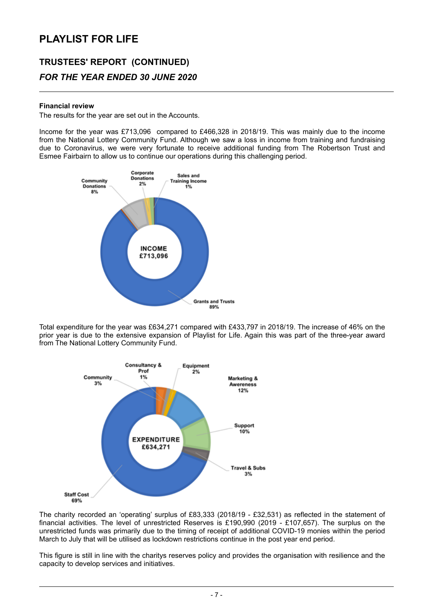### **TRUSTEES' REPORT (CONTINUED)** *FOR THE YEAR ENDED 30 JUNE 2020*

#### **Financial review**

The results for the year are set out in the Accounts.

Income for the year was £713,096 compared to £466,328 in 2018/19. This was mainly due to the income from the National Lottery Community Fund. Although we saw a loss in income from training and fundraising due to Coronavirus, we were very fortunate to receive additional funding from The Robertson Trust and Esmee Fairbairn to allow us to continue our operations during this challenging period.



Total expenditure for the year was £634,271 compared with £433,797 in 2018/19. The increase of 46% on the prior year is due to the extensive expansion of Playlist for Life. Again this was part of the three-year award from The National Lottery Community Fund.



The charity recorded an 'operating' surplus of £83,333 (2018/19 - £32,531) as reflected in the statement of financial activities. The level of unrestricted Reserves is £190,990 (2019 - £107,657). The surplus on the unrestricted funds was primarily due to the timing of receipt of additional COVID-19 monies within the period March to July that will be utilised as lockdown restrictions continue in the post year end period.

This figure is still in line with the charitys reserves policy and provides the organisation with resilience and the capacity to develop services and initiatives.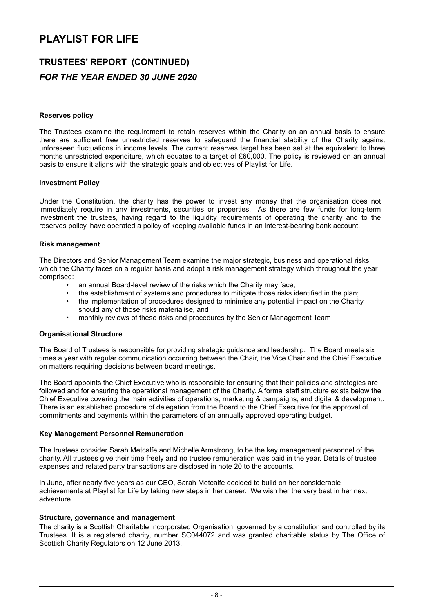### **TRUSTEES' REPORT (CONTINUED)** *FOR THE YEAR ENDED 30 JUNE 2020*

#### **Reserves policy**

The Trustees examine the requirement to retain reserves within the Charity on an annual basis to ensure there are sufficient free unrestricted reserves to safeguard the financial stability of the Charity against unforeseen fluctuations in income levels. The current reserves target has been set at the equivalent to three months unrestricted expenditure, which equates to a target of £60,000. The policy is reviewed on an annual basis to ensure it aligns with the strategic goals and objectives of Playlist for Life.

#### **Investment Policy**

Under the Constitution, the charity has the power to invest any money that the organisation does not immediately require in any investments, securities or properties. As there are few funds for long-term investment the trustees, having regard to the liquidity requirements of operating the charity and to the reserves policy, have operated a policy of keeping available funds in an interest-bearing bank account.

#### **Risk management**

The Directors and Senior Management Team examine the major strategic, business and operational risks which the Charity faces on a regular basis and adopt a risk management strategy which throughout the year comprised:

- an annual Board-level review of the risks which the Charity may face;
- the establishment of systems and procedures to mitigate those risks identified in the plan;
- the implementation of procedures designed to minimise any potential impact on the Charity should any of those risks materialise, and
- monthly reviews of these risks and procedures by the Senior Management Team

### **Organisational Structure**

The Board of Trustees is responsible for providing strategic guidance and leadership. The Board meets six times a year with regular communication occurring between the Chair, the Vice Chair and the Chief Executive on matters requiring decisions between board meetings.

The Board appoints the Chief Executive who is responsible for ensuring that their policies and strategies are followed and for ensuring the operational management of the Charity. A formal staff structure exists below the Chief Executive covering the main activities of operations, marketing & campaigns, and digital & development. There is an established procedure of delegation from the Board to the Chief Executive for the approval of commitments and payments within the parameters of an annually approved operating budget.

#### **Key Management Personnel Remuneration**

The trustees consider Sarah Metcalfe and Michelle Armstrong, to be the key management personnel of the charity. All trustees give their time freely and no trustee remuneration was paid in the year. Details of trustee expenses and related party transactions are disclosed in note 20 to the accounts.

In June, after nearly five years as our CEO, Sarah Metcalfe decided to build on her considerable achievements at Playlist for Life by taking new steps in her career. We wish her the very best in her next adventure.

### **Structure, governance and management**

The charity is a Scottish Charitable Incorporated Organisation, governed by a constitution and controlled by its Trustees. It is a registered charity, number SC044072 and was granted charitable status by The Office of Scottish Charity Regulators on 12 June 2013.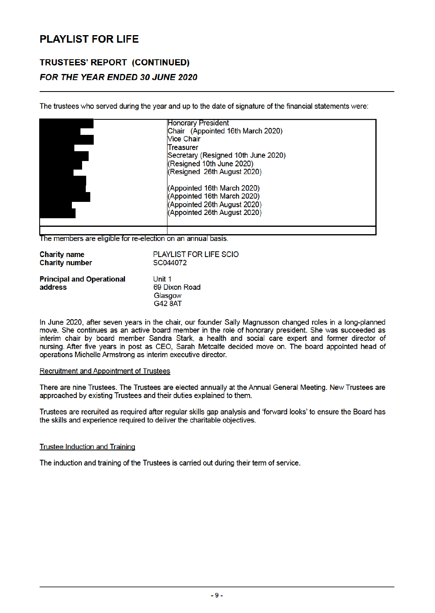### **TRUSTEES' REPORT (CONTINUED)** FOR THE YEAR ENDED 30 JUNE 2020

The trustees who served during the year and up to the date of signature of the financial statements were:

| <b>Honorary President</b>           |
|-------------------------------------|
| Chair (Appointed 16th March 2020)   |
| Vice Chair                          |
| Treasurer                           |
| Secretary (Resigned 10th June 2020) |
| (Resigned 10th June 2020)           |
| (Resigned 26th August 2020)         |
|                                     |
| (Appointed 16th March 2020)         |
| (Appointed 16th March 2020)         |
| (Appointed 26th August 2020)        |
| (Appointed 26th August 2020)        |
|                                     |
|                                     |

The members are eligible for re-election on an annual basis.

| Charity name   | <b>PLAYLIST FOR LIFE SCIO</b> |
|----------------|-------------------------------|
| Charity number | SC044072                      |
|                | .                             |

| Principal and Operational | Unit 1         |
|---------------------------|----------------|
| address                   | 69 Dixon Road  |
|                           | Glasgow        |
|                           | <b>G42 8AT</b> |

In June 2020, after seven years in the chair, our founder Sally Magnusson changed roles in a long-planned move. She continues as an active board member in the role of honorary president. She was succeeded as interim chair by board member Sandra Stark, a health and social care expert and former director of nursing. After five years in post as CEO, Sarah Metcalfe decided move on. The board appointed head of operations Michelle Armstrong as interim executive director.

### **Recruitment and Appointment of Trustees**

There are nine Trustees. The Trustees are elected annually at the Annual General Meeting. New Trustees are approached by existing Trustees and their duties explained to them.

Trustees are recruited as required after regular skills gap analysis and 'forward looks' to ensure the Board has the skills and experience required to deliver the charitable objectives.

### **Trustee Induction and Training**

The induction and training of the Trustees is carried out during their term of service.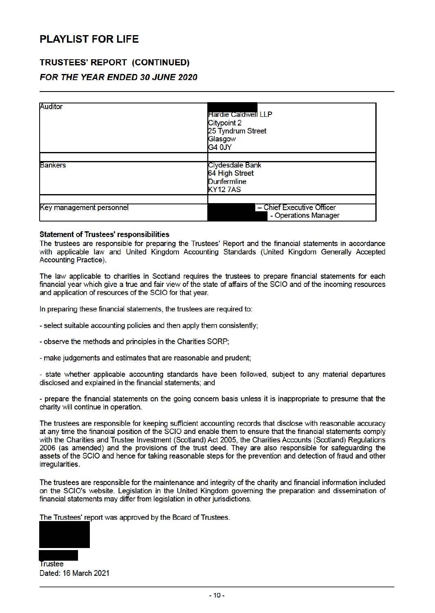### **TRUSTEES' REPORT (CONTINUED)**

### FOR THE YEAR ENDED 30 JUNE 2020

| Auditor                  | <b>Hardie Caldwell LLP</b><br>Citypoint 2<br>25 Tyndrum Street<br>Glasgow<br><b>G4 0JY</b> |
|--------------------------|--------------------------------------------------------------------------------------------|
| <b>Bankers</b>           | Clydesdale Bank<br>64 High Street<br><b>Dunfermline</b><br><b>KY127AS</b>                  |
| Key management personnel | - Chief Executive Officer<br>- Operations Manager                                          |

#### **Statement of Trustees' responsibilities**

The trustees are responsible for preparing the Trustees' Report and the financial statements in accordance with applicable law and United Kingdom Accounting Standards (United Kingdom Generally Accepted Accounting Practice).

The law applicable to charities in Scotland requires the trustees to prepare financial statements for each financial year which give a true and fair view of the state of affairs of the SCIO and of the incoming resources and application of resources of the SCIO for that year.

In preparing these financial statements, the trustees are required to:

- select suitable accounting policies and then apply them consistently;

- observe the methods and principles in the Charities SORP;

- make judgements and estimates that are reasonable and prudent:

- state whether applicable accounting standards have been followed, subject to any material departures disclosed and explained in the financial statements: and

- prepare the financial statements on the going concern basis unless it is inappropriate to presume that the charity will continue in operation.

The trustees are responsible for keeping sufficient accounting records that disclose with reasonable accuracy at any time the financial position of the SCIO and enable them to ensure that the financial statements comply with the Charities and Trustee Investment (Scotland) Act 2005, the Charities Accounts (Scotland) Regulations 2006 (as amended) and the provisions of the trust deed. They are also responsible for safeguarding the assets of the SCIO and hence for taking reasonable steps for the prevention and detection of fraud and other irregularities.

The trustees are responsible for the maintenance and integrity of the charity and financial information included on the SCIO's website. Legislation in the United Kingdom governing the preparation and dissemination of financial statements may differ from legislation in other jurisdictions.

The Trustees' report was approved by the Board of Trustees.



Trustee Dated: 16 March 2021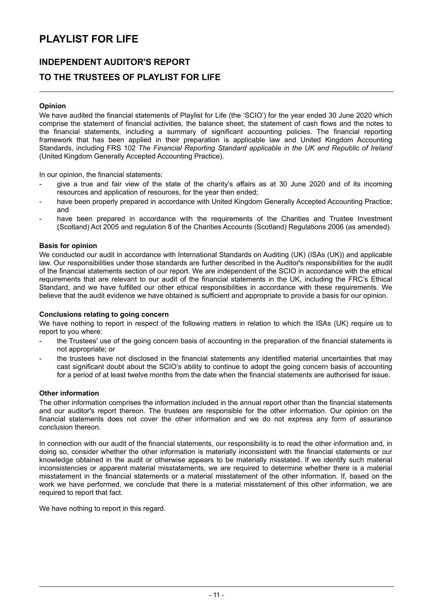### **INDEPENDENT AUDITOR'S REPORT**

### **TO THE TRUSTEES OF PLAYLIST FOR LIFE**

### **Opinion**

We have audited the financial statements of Playlist for Life (the 'SCIO') for the year ended 30 June 2020 which comprise the statement of financial activities, the balance sheet, the statement of cash flows and the notes to the financial statements, including a summary of significant accounting policies. The financial reporting framework that has been applied in their preparation is applicable law and United Kingdom Accounting Standards, including FRS 102 *The Financial Reporting Standard applicable in the UK and Republic of Ireland* (United Kingdom Generally Accepted Accounting Practice).

In our opinion, the financial statements:

- give a true and fair view of the state of the charity's affairs as at 30 June 2020 and of its incoming resources and application of resources, for the year then ended;
- have been properly prepared in accordance with United Kingdom Generally Accepted Accounting Practice; and
- have been prepared in accordance with the requirements of the Charities and Trustee Investment (Scotland) Act 2005 and regulation 8 of the Charities Accounts (Scotland) Regulations 2006 (as amended).

#### **Basis for opinion**

We conducted our audit in accordance with International Standards on Auditing (UK) (ISAs (UK)) and applicable law. Our responsibilities under those standards are further described in the Auditor's responsibilities for the audit of the financial statements section of our report. We are independent of the SCIO in accordance with the ethical requirements that are relevant to our audit of the financial statements in the UK, including the FRC's Ethical Standard, and we have fulfilled our other ethical responsibilities in accordance with these requirements. We believe that the audit evidence we have obtained is sufficient and appropriate to provide a basis for our opinion.

#### **Conclusions relating to going concern**

We have nothing to report in respect of the following matters in relation to which the ISAs (UK) require us to report to you where:

- the Trustees' use of the going concern basis of accounting in the preparation of the financial statements is not appropriate; or
- the trustees have not disclosed in the financial statements any identified material uncertainties that may cast significant doubt about the SCIO's ability to continue to adopt the going concern basis of accounting for a period of at least twelve months from the date when the financial statements are authorised for issue.

### **Other information**

The other information comprises the information included in the annual report other than the financial statements and our auditor's report thereon. The trustees are responsible for the other information. Our opinion on the financial statements does not cover the other information and we do not express any form of assurance conclusion thereon.

In connection with our audit of the financial statements, our responsibility is to read the other information and, in doing so, consider whether the other information is materially inconsistent with the financial statements or our knowledge obtained in the audit or otherwise appears to be materially misstated. If we identify such material inconsistencies or apparent material misstatements, we are required to determine whether there is a material misstatement in the financial statements or a material misstatement of the other information. If, based on the work we have performed, we conclude that there is a material misstatement of this other information, we are required to report that fact.

We have nothing to report in this regard.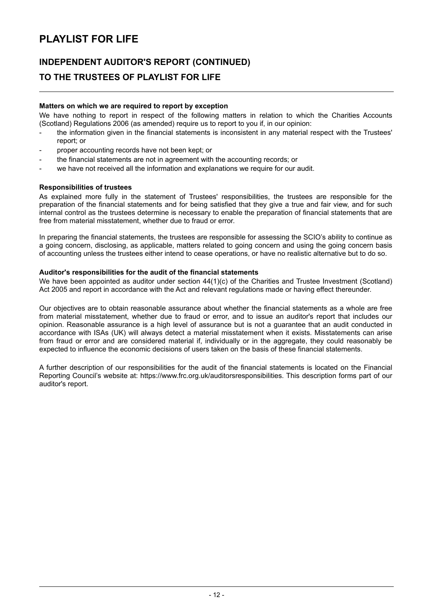### **INDEPENDENT AUDITOR'S REPORT (CONTINUED) TO THE TRUSTEES OF PLAYLIST FOR LIFE**

### **Matters on which we are required to report by exception**

We have nothing to report in respect of the following matters in relation to which the Charities Accounts (Scotland) Regulations 2006 (as amended) require us to report to you if, in our opinion:

- the information given in the financial statements is inconsistent in any material respect with the Trustees' report; or
- proper accounting records have not been kept; or
- the financial statements are not in agreement with the accounting records; or
- we have not received all the information and explanations we require for our audit.

### **Responsibilities of trustees**

As explained more fully in the statement of Trustees' responsibilities, the trustees are responsible for the preparation of the financial statements and for being satisfied that they give a true and fair view, and for such internal control as the trustees determine is necessary to enable the preparation of financial statements that are free from material misstatement, whether due to fraud or error.

In preparing the financial statements, the trustees are responsible for assessing the SCIO's ability to continue as a going concern, disclosing, as applicable, matters related to going concern and using the going concern basis of accounting unless the trustees either intend to cease operations, or have no realistic alternative but to do so.

#### **Auditor's responsibilities for the audit of the financial statements**

We have been appointed as auditor under section 44(1)(c) of the Charities and Trustee Investment (Scotland) Act 2005 and report in accordance with the Act and relevant regulations made or having effect thereunder.

Our objectives are to obtain reasonable assurance about whether the financial statements as a whole are free from material misstatement, whether due to fraud or error, and to issue an auditor's report that includes our opinion. Reasonable assurance is a high level of assurance but is not a guarantee that an audit conducted in accordance with ISAs (UK) will always detect a material misstatement when it exists. Misstatements can arise from fraud or error and are considered material if, individually or in the aggregate, they could reasonably be expected to influence the economic decisions of users taken on the basis of these financial statements.

A further description of our responsibilities for the audit of the financial statements is located on the Financial Reporting Council's website at: https://www.frc.org.uk/auditorsresponsibilities. This description forms part of our auditor's report.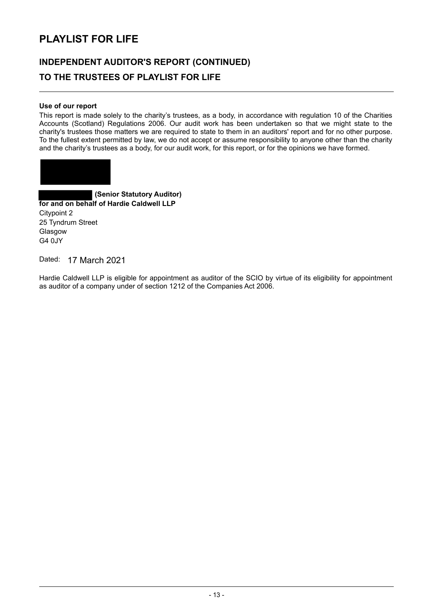### **INDEPENDENT AUDITOR'S REPORT (CONTINUED) TO THE TRUSTEES OF PLAYLIST FOR LIFE**

### **Use of our report**

This report is made solely to the charity's trustees, as a body, in accordance with regulation 10 of the Charities Accounts (Scotland) Regulations 2006. Our audit work has been undertaken so that we might state to the charity's trustees those matters we are required to state to them in an auditors' report and for no other purpose. To the fullest extent permitted by law, we do not accept or assume responsibility to anyone other than the charity and the charity's trustees as a body, for our audit work, for this report, or for the opinions we have formed.



 **(Senior Statutory Auditor) for and on behalf of Hardie Caldwell LLP**  Citypoint 2 25 Tyndrum Street Glasgow G4 0JY

### Dated: 17 March 2021

Hardie Caldwell LLP is eligible for appointment as auditor of the SCIO by virtue of its eligibility for appointment as auditor of a company under of section 1212 of the Companies Act 2006.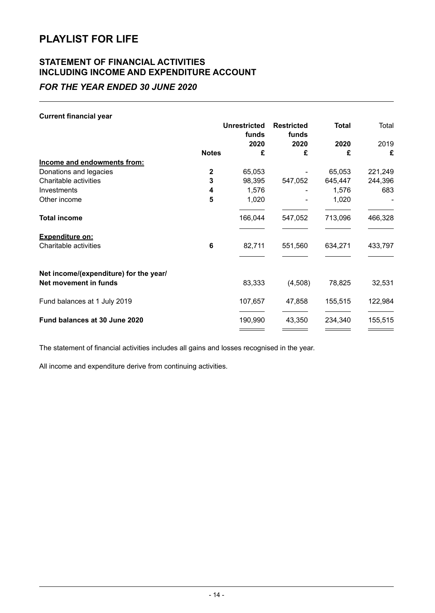### **STATEMENT OF FINANCIAL ACTIVITIES INCLUDING INCOME AND EXPENDITURE ACCOUNT**

### *FOR THE YEAR ENDED 30 JUNE 2020*

### **Current financial year**

|                                                                 |              | <b>Unrestricted</b><br>funds | <b>Restricted</b><br>funds | <b>Total</b> | Total   |
|-----------------------------------------------------------------|--------------|------------------------------|----------------------------|--------------|---------|
|                                                                 |              | 2020                         | 2020                       | 2020         | 2019    |
|                                                                 | <b>Notes</b> | £                            | £                          | £            | £       |
| Income and endowments from:                                     |              |                              |                            |              |         |
| Donations and legacies                                          | $\mathbf 2$  | 65,053                       |                            | 65,053       | 221,249 |
| Charitable activities                                           | 3            | 98,395                       | 547,052                    | 645,447      | 244,396 |
| Investments                                                     | 4            | 1,576                        |                            | 1,576        | 683     |
| Other income                                                    | 5            | 1,020                        |                            | 1,020        |         |
| <b>Total income</b>                                             |              | 166,044                      | 547,052                    | 713,096      | 466,328 |
| <b>Expenditure on:</b>                                          |              |                              |                            |              |         |
| Charitable activities                                           | 6            | 82,711                       | 551,560                    | 634,271      | 433,797 |
|                                                                 |              |                              |                            |              |         |
| Net income/(expenditure) for the year/<br>Net movement in funds |              | 83,333                       | (4,508)                    | 78,825       | 32,531  |
| Fund balances at 1 July 2019                                    |              | 107,657                      | 47,858                     | 155,515      | 122,984 |
| Fund balances at 30 June 2020                                   |              | 190,990                      | 43,350                     | 234,340      | 155,515 |
|                                                                 |              |                              |                            |              |         |

The statement of financial activities includes all gains and losses recognised in the year.

All income and expenditure derive from continuing activities.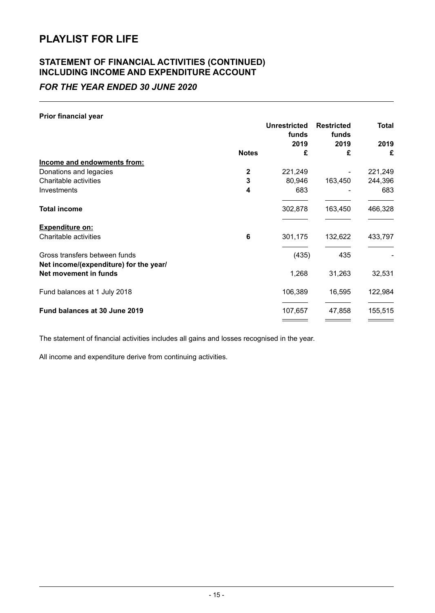### **STATEMENT OF FINANCIAL ACTIVITIES (CONTINUED) INCLUDING INCOME AND EXPENDITURE ACCOUNT**

### *FOR THE YEAR ENDED 30 JUNE 2020*

### **Prior financial year**

|                                                                         |              | <b>Unrestricted</b><br>funds | <b>Restricted</b><br>funds | <b>Total</b> |
|-------------------------------------------------------------------------|--------------|------------------------------|----------------------------|--------------|
|                                                                         |              | 2019                         | 2019                       | 2019         |
|                                                                         | <b>Notes</b> | £                            | £                          | £            |
| Income and endowments from:                                             |              |                              |                            |              |
| Donations and legacies                                                  | $\mathbf 2$  | 221,249                      |                            | 221,249      |
| Charitable activities                                                   | 3            | 80,946                       | 163,450                    | 244,396      |
| Investments                                                             | 4            | 683                          |                            | 683          |
| <b>Total income</b>                                                     |              | 302,878                      | 163,450                    | 466,328      |
| <b>Expenditure on:</b>                                                  |              |                              |                            |              |
| Charitable activities                                                   | 6            | 301,175                      | 132,622                    | 433,797      |
| Gross transfers between funds<br>Net income/(expenditure) for the year/ |              | (435)                        | 435                        |              |
| Net movement in funds                                                   |              | 1,268                        | 31,263                     | 32,531       |
| Fund balances at 1 July 2018                                            |              | 106,389                      | 16,595                     | 122,984      |
| Fund balances at 30 June 2019                                           |              | 107,657                      | 47,858                     | 155,515      |
|                                                                         |              |                              |                            |              |

The statement of financial activities includes all gains and losses recognised in the year.

All income and expenditure derive from continuing activities.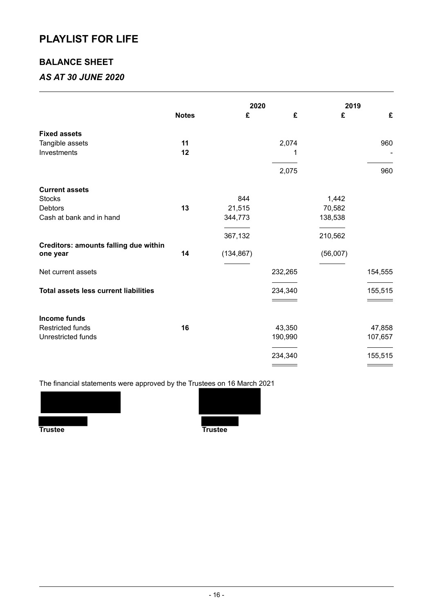### **BALANCE SHEET**

### *AS AT 30 JUNE 2020*

|                                              |              | 2020       |         | 2019     |         |
|----------------------------------------------|--------------|------------|---------|----------|---------|
|                                              | <b>Notes</b> | £          | £       | £        | £       |
| <b>Fixed assets</b>                          |              |            |         |          |         |
| Tangible assets                              | 11           |            | 2,074   |          | 960     |
| Investments                                  | 12           |            | 1       |          |         |
|                                              |              |            | 2,075   |          | 960     |
|                                              |              |            |         |          |         |
| <b>Current assets</b>                        |              |            |         |          |         |
| <b>Stocks</b>                                |              | 844        |         | 1,442    |         |
| <b>Debtors</b>                               | 13           | 21,515     |         | 70,582   |         |
| Cash at bank and in hand                     |              | 344,773    |         | 138,538  |         |
|                                              |              | 367,132    |         | 210,562  |         |
| Creditors: amounts falling due within        |              |            |         |          |         |
| one year                                     | 14           | (134, 867) |         | (56,007) |         |
| Net current assets                           |              |            | 232,265 |          | 154,555 |
|                                              |              |            |         |          |         |
| <b>Total assets less current liabilities</b> |              |            | 234,340 |          | 155,515 |
|                                              |              |            |         |          |         |
| <b>Income funds</b>                          |              |            |         |          |         |
| <b>Restricted funds</b>                      | 16           |            | 43,350  |          | 47,858  |
| Unrestricted funds                           |              |            | 190,990 |          | 107,657 |
|                                              |              |            | 234,340 |          | 155,515 |
|                                              |              |            |         |          |         |

The financial statements were approved by the Trustees on 16 March 2021

| <b>Trustee</b> |  |
|----------------|--|

 $\blacksquare$ 

Ξ



**Trustee Trustee**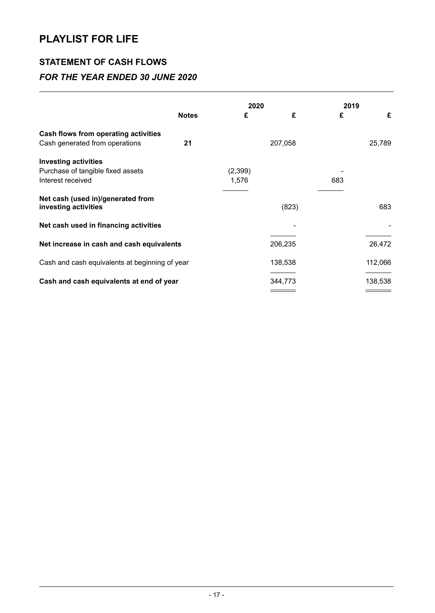### **STATEMENT OF CASH FLOWS**

### *FOR THE YEAR ENDED 30 JUNE 2020*

|                                                |              | 2020    |         | 2019 |         |
|------------------------------------------------|--------------|---------|---------|------|---------|
|                                                | <b>Notes</b> | £       | £       | £    | £       |
| Cash flows from operating activities           |              |         |         |      |         |
| Cash generated from operations                 | 21           |         | 207,058 |      | 25,789  |
| <b>Investing activities</b>                    |              |         |         |      |         |
| Purchase of tangible fixed assets              |              | (2,399) |         |      |         |
| Interest received                              |              | 1,576   |         | 683  |         |
|                                                |              |         |         |      |         |
| Net cash (used in)/generated from              |              |         |         |      |         |
| investing activities                           |              |         | (823)   |      | 683     |
|                                                |              |         |         |      |         |
| Net cash used in financing activities          |              |         |         |      |         |
| Net increase in cash and cash equivalents      |              |         | 206,235 |      | 26,472  |
|                                                |              |         |         |      |         |
| Cash and cash equivalents at beginning of year |              |         | 138,538 |      | 112,066 |
|                                                |              |         |         |      |         |
| Cash and cash equivalents at end of year       |              |         | 344,773 |      | 138,538 |
|                                                |              |         |         |      |         |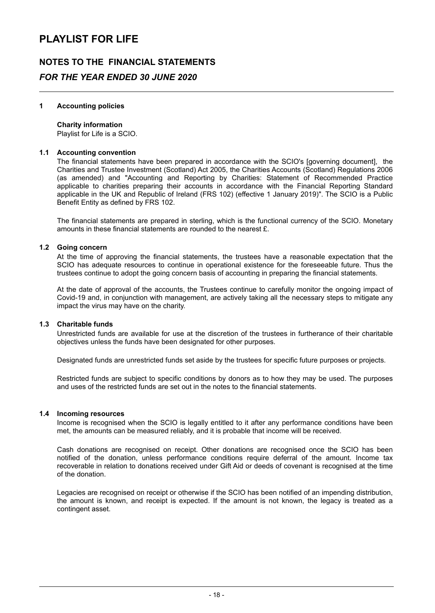### **NOTES TO THE FINANCIAL STATEMENTS** *FOR THE YEAR ENDED 30 JUNE 2020*

#### **1 Accounting policies**

#### **Charity information**

Playlist for Life is a SCIO.

#### **1.1 Accounting convention**

The financial statements have been prepared in accordance with the SCIO's [governing document], the Charities and Trustee Investment (Scotland) Act 2005, the Charities Accounts (Scotland) Regulations 2006 (as amended) and "Accounting and Reporting by Charities: Statement of Recommended Practice applicable to charities preparing their accounts in accordance with the Financial Reporting Standard applicable in the UK and Republic of Ireland (FRS 102) (effective 1 January 2019)". The SCIO is a Public Benefit Entity as defined by FRS 102.

The financial statements are prepared in sterling, which is the functional currency of the SCIO. Monetary amounts in these financial statements are rounded to the nearest £.

#### **1.2 Going concern**

At the time of approving the financial statements, the trustees have a reasonable expectation that the SCIO has adequate resources to continue in operational existence for the foreseeable future. Thus the trustees continue to adopt the going concern basis of accounting in preparing the financial statements.

At the date of approval of the accounts, the Trustees continue to carefully monitor the ongoing impact of Covid-19 and, in conjunction with management, are actively taking all the necessary steps to mitigate any impact the virus may have on the charity.

### **1.3 Charitable funds**

Unrestricted funds are available for use at the discretion of the trustees in furtherance of their charitable objectives unless the funds have been designated for other purposes.

Designated funds are unrestricted funds set aside by the trustees for specific future purposes or projects.

Restricted funds are subject to specific conditions by donors as to how they may be used. The purposes and uses of the restricted funds are set out in the notes to the financial statements.

#### **1.4 Incoming resources**

Income is recognised when the SCIO is legally entitled to it after any performance conditions have been met, the amounts can be measured reliably, and it is probable that income will be received.

Cash donations are recognised on receipt. Other donations are recognised once the SCIO has been notified of the donation, unless performance conditions require deferral of the amount. Income tax recoverable in relation to donations received under Gift Aid or deeds of covenant is recognised at the time of the donation.

Legacies are recognised on receipt or otherwise if the SCIO has been notified of an impending distribution, the amount is known, and receipt is expected. If the amount is not known, the legacy is treated as a contingent asset.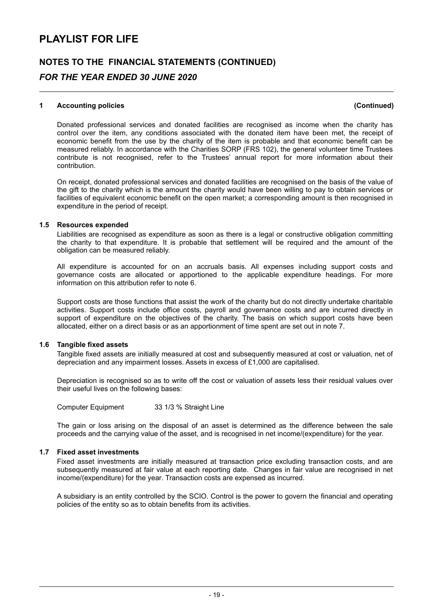### **NOTES TO THE FINANCIAL STATEMENTS (CONTINUED)** *FOR THE YEAR ENDED 30 JUNE 2020*

#### **1 Accounting policies (Continued)**

Donated professional services and donated facilities are recognised as income when the charity has control over the item, any conditions associated with the donated item have been met, the receipt of economic benefit from the use by the charity of the item is probable and that economic benefit can be measured reliably. In accordance with the Charities SORP (FRS 102), the general volunteer time Trustees contribute is not recognised, refer to the Trustees' annual report for more information about their contribution.

On receipt, donated professional services and donated facilities are recognised on the basis of the value of the gift to the charity which is the amount the charity would have been willing to pay to obtain services or facilities of equivalent economic benefit on the open market; a corresponding amount is then recognised in expenditure in the period of receipt.

#### **1.5 Resources expended**

Liabilities are recognised as expenditure as soon as there is a legal or constructive obligation committing the charity to that expenditure. It is probable that settlement will be required and the amount of the obligation can be measured reliably.

All expenditure is accounted for on an accruals basis. All expenses including support costs and governance costs are allocated or apportioned to the applicable expenditure headings. For more information on this attribution refer to note 6.

Support costs are those functions that assist the work of the charity but do not directly undertake charitable activities. Support costs include office costs, payroll and governance costs and are incurred directly in support of expenditure on the objectives of the charity. The basis on which support costs have been allocated, either on a direct basis or as an apportionment of time spent are set out in note 7.

### **1.6 Tangible fixed assets**

Tangible fixed assets are initially measured at cost and subsequently measured at cost or valuation, net of depreciation and any impairment losses. Assets in excess of £1,000 are capitalised.

Depreciation is recognised so as to write off the cost or valuation of assets less their residual values over their useful lives on the following bases:

Computer Equipment 33 1/3 % Straight Line

The gain or loss arising on the disposal of an asset is determined as the difference between the sale proceeds and the carrying value of the asset, and is recognised in net income/(expenditure) for the year.

#### **1.7 Fixed asset investments**

Fixed asset investments are initially measured at transaction price excluding transaction costs, and are subsequently measured at fair value at each reporting date. Changes in fair value are recognised in net income/(expenditure) for the year. Transaction costs are expensed as incurred.

A subsidiary is an entity controlled by the SCIO. Control is the power to govern the financial and operating policies of the entity so as to obtain benefits from its activities.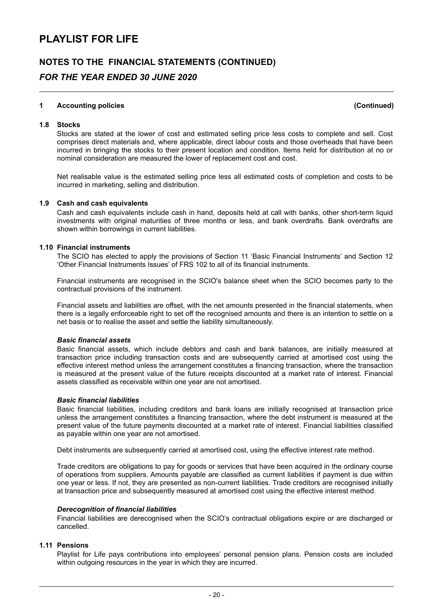### **NOTES TO THE FINANCIAL STATEMENTS (CONTINUED)**

### *FOR THE YEAR ENDED 30 JUNE 2020*

### **1 Accounting policies (Continued)**

### **1.8 Stocks**

Stocks are stated at the lower of cost and estimated selling price less costs to complete and sell. Cost comprises direct materials and, where applicable, direct labour costs and those overheads that have been incurred in bringing the stocks to their present location and condition. Items held for distribution at no or nominal consideration are measured the lower of replacement cost and cost.

Net realisable value is the estimated selling price less all estimated costs of completion and costs to be incurred in marketing, selling and distribution.

#### **1.9 Cash and cash equivalents**

Cash and cash equivalents include cash in hand, deposits held at call with banks, other short-term liquid investments with original maturities of three months or less, and bank overdrafts. Bank overdrafts are shown within borrowings in current liabilities.

#### **1.10 Financial instruments**

The SCIO has elected to apply the provisions of Section 11 'Basic Financial Instruments' and Section 12 'Other Financial Instruments Issues' of FRS 102 to all of its financial instruments.

Financial instruments are recognised in the SCIO's balance sheet when the SCIO becomes party to the contractual provisions of the instrument.

Financial assets and liabilities are offset, with the net amounts presented in the financial statements, when there is a legally enforceable right to set off the recognised amounts and there is an intention to settle on a net basis or to realise the asset and settle the liability simultaneously.

#### *Basic financial assets*

Basic financial assets, which include debtors and cash and bank balances, are initially measured at transaction price including transaction costs and are subsequently carried at amortised cost using the effective interest method unless the arrangement constitutes a financing transaction, where the transaction is measured at the present value of the future receipts discounted at a market rate of interest. Financial assets classified as receivable within one year are not amortised.

#### *Basic financial liabilities*

Basic financial liabilities, including creditors and bank loans are initially recognised at transaction price unless the arrangement constitutes a financing transaction, where the debt instrument is measured at the present value of the future payments discounted at a market rate of interest. Financial liabilities classified as payable within one year are not amortised.

Debt instruments are subsequently carried at amortised cost, using the effective interest rate method.

Trade creditors are obligations to pay for goods or services that have been acquired in the ordinary course of operations from suppliers. Amounts payable are classified as current liabilities if payment is due within one year or less. If not, they are presented as non-current liabilities. Trade creditors are recognised initially at transaction price and subsequently measured at amortised cost using the effective interest method.

#### *Derecognition of financial liabilities*

Financial liabilities are derecognised when the SCIO's contractual obligations expire or are discharged or cancelled.

### **1.11 Pensions**

Playlist for Life pays contributions into employees' personal pension plans. Pension costs are included within outgoing resources in the year in which they are incurred.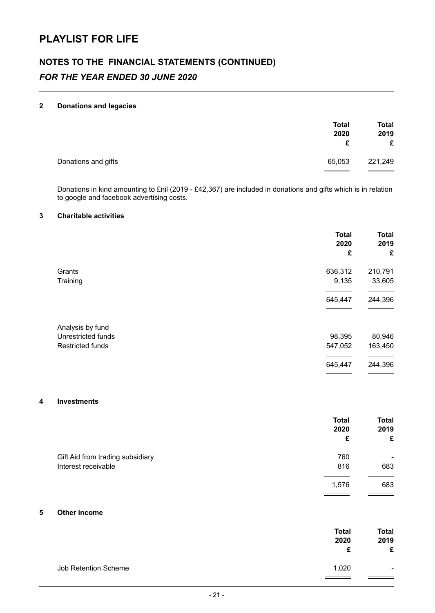### **NOTES TO THE FINANCIAL STATEMENTS (CONTINUED)** *FOR THE YEAR ENDED 30 JUNE 2020*

#### **2 Donations and legacies**

|                     | <b>Total</b><br>2020<br>£ | <b>Total</b><br>2019<br>£ |
|---------------------|---------------------------|---------------------------|
| Donations and gifts | 65,053                    | 221,249                   |

Donations in kind amounting to £nil (2019 - £42,367) are included in donations and gifts which is in relation to google and facebook advertising costs.

### **3 Charitable activities**

|                         | <b>Total</b><br>2020<br>£ | <b>Total</b><br>2019<br>£ |
|-------------------------|---------------------------|---------------------------|
| Grants                  | 636,312                   | 210,791                   |
| Training                | 9,135                     | 33,605                    |
|                         | 645,447                   | 244,396                   |
|                         |                           |                           |
| Analysis by fund        |                           |                           |
| Unrestricted funds      | 98,395                    | 80,946                    |
| <b>Restricted funds</b> | 547,052                   | 163,450                   |
|                         | 645,447                   | 244,396                   |
|                         |                           |                           |

#### **4 Investments**

|                                  | <b>Total</b><br>2020<br>£ | <b>Total</b><br>2019<br>£ |
|----------------------------------|---------------------------|---------------------------|
| Gift Aid from trading subsidiary | 760                       | ۰                         |
| Interest receivable              | 816                       | 683                       |
|                                  | 1,576                     | 683                       |

### **5 Other income**

|                      | <b>Total</b><br>2020<br>£ | <b>Total</b><br>2019<br>£ |
|----------------------|---------------------------|---------------------------|
| Job Retention Scheme | 1,020                     | -                         |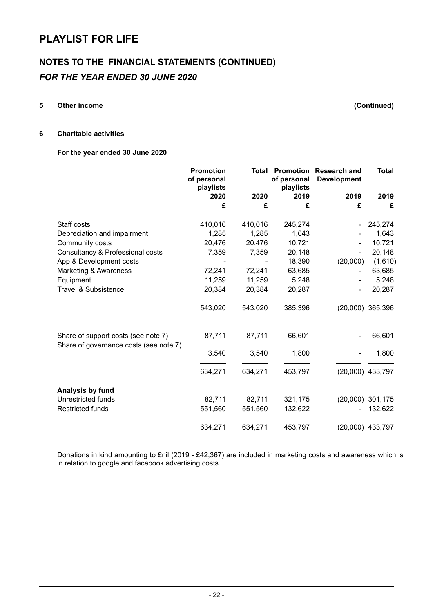### **NOTES TO THE FINANCIAL STATEMENTS (CONTINUED)** *FOR THE YEAR ENDED 30 JUNE 2020*

#### **5 Other income (Continued)**

### **6 Charitable activities**

**For the year ended 30 June 2020**

|                                                                               | <b>Promotion</b><br>of personal<br>playlists | Total   | <b>Promotion</b><br>of personal<br>playlists | <b>Research and</b><br><b>Development</b> | <b>Total</b>     |
|-------------------------------------------------------------------------------|----------------------------------------------|---------|----------------------------------------------|-------------------------------------------|------------------|
|                                                                               | 2020                                         | 2020    | 2019                                         | 2019                                      | 2019             |
|                                                                               | £                                            | £       | £                                            | £                                         | £                |
| Staff costs                                                                   | 410,016                                      | 410,016 | 245,274                                      |                                           | 245,274          |
| Depreciation and impairment                                                   | 1,285                                        | 1,285   | 1,643                                        |                                           | 1,643            |
| Community costs                                                               | 20,476                                       | 20,476  | 10,721                                       |                                           | 10,721           |
| Consultancy & Professional costs                                              | 7,359                                        | 7,359   | 20,148                                       |                                           | 20,148           |
| App & Development costs                                                       |                                              |         | 18,390                                       | (20,000)                                  | (1,610)          |
| Marketing & Awareness                                                         | 72,241                                       | 72,241  | 63,685                                       |                                           | 63,685           |
| Equipment                                                                     | 11,259                                       | 11,259  | 5,248                                        |                                           | 5,248            |
| <b>Travel &amp; Subsistence</b>                                               | 20,384                                       | 20,384  | 20,287                                       |                                           | 20,287           |
|                                                                               | 543,020                                      | 543,020 | 385,396                                      | (20,000)                                  | 365,396          |
| Share of support costs (see note 7)<br>Share of governance costs (see note 7) | 87,711                                       | 87,711  | 66,601                                       |                                           | 66,601           |
|                                                                               | 3,540                                        | 3,540   | 1,800                                        |                                           | 1,800            |
|                                                                               | 634,271                                      | 634,271 | 453,797                                      | (20,000)                                  | 433,797          |
| Analysis by fund                                                              |                                              |         |                                              |                                           |                  |
| Unrestricted funds                                                            | 82,711                                       | 82,711  | 321,175                                      |                                           | (20,000) 301,175 |
| <b>Restricted funds</b>                                                       | 551,560                                      | 551,560 | 132,622                                      |                                           | 132,622          |
|                                                                               | 634,271                                      | 634,271 | 453,797                                      |                                           | (20,000) 433,797 |
|                                                                               |                                              |         |                                              |                                           |                  |

Donations in kind amounting to £nil (2019 - £42,367) are included in marketing costs and awareness which is in relation to google and facebook advertising costs.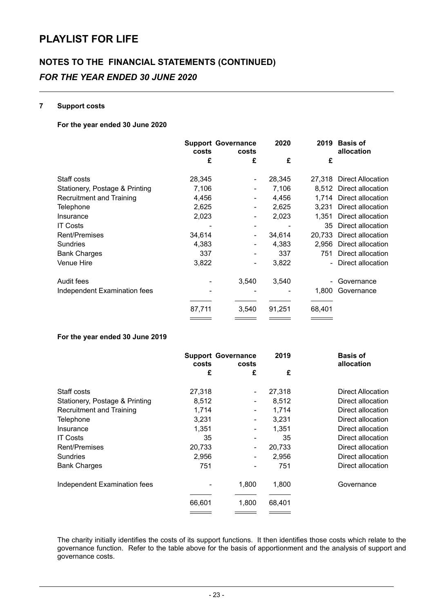### **NOTES TO THE FINANCIAL STATEMENTS (CONTINUED)** *FOR THE YEAR ENDED 30 JUNE 2020*

#### **7 Support costs**

### **For the year ended 30 June 2020**

|                                | costs  | <b>Support Governance</b><br>costs | 2020   | 2019   | <b>Basis of</b><br>allocation |
|--------------------------------|--------|------------------------------------|--------|--------|-------------------------------|
|                                | £      | £                                  | £      | £      |                               |
| Staff costs                    | 28,345 |                                    | 28,345 | 27.318 | <b>Direct Allocation</b>      |
| Stationery, Postage & Printing | 7,106  |                                    | 7,106  |        | 8,512 Direct allocation       |
| Recruitment and Training       | 4,456  |                                    | 4,456  |        | 1,714 Direct allocation       |
| Telephone                      | 2,625  |                                    | 2,625  | 3.231  | Direct allocation             |
| Insurance                      | 2,023  |                                    | 2,023  | 1.351  | Direct allocation             |
| <b>IT Costs</b>                |        |                                    |        | 35     | Direct allocation             |
| <b>Rent/Premises</b>           | 34,614 |                                    | 34,614 | 20,733 | Direct allocation             |
| <b>Sundries</b>                | 4,383  |                                    | 4,383  | 2.956  | Direct allocation             |
| <b>Bank Charges</b>            | 337    |                                    | 337    | 751    | Direct allocation             |
| <b>Venue Hire</b>              | 3,822  |                                    | 3,822  |        | Direct allocation             |
| Audit fees                     |        | 3,540                              | 3,540  |        | Governance                    |
| Independent Examination fees   |        |                                    |        | 1,800  | Governance                    |
|                                | 87,711 | 3,540                              | 91,251 | 68,401 |                               |
|                                |        |                                    |        |        |                               |

#### **For the year ended 30 June 2019**

|                                | costs  | <b>Support Governance</b><br>costs | 2019   | <b>Basis of</b><br>allocation |
|--------------------------------|--------|------------------------------------|--------|-------------------------------|
|                                | £      | £                                  | £      |                               |
| Staff costs                    | 27,318 | $\overline{\phantom{a}}$           | 27,318 | <b>Direct Allocation</b>      |
| Stationery, Postage & Printing | 8,512  | $\overline{\phantom{a}}$           | 8,512  | Direct allocation             |
| Recruitment and Training       | 1,714  |                                    | 1,714  | Direct allocation             |
| Telephone                      | 3,231  | ۰                                  | 3,231  | Direct allocation             |
| Insurance                      | 1,351  |                                    | 1,351  | Direct allocation             |
| <b>IT Costs</b>                | 35     |                                    | 35     | Direct allocation             |
| Rent/Premises                  | 20,733 | $\overline{\phantom{a}}$           | 20,733 | Direct allocation             |
| Sundries                       | 2,956  |                                    | 2,956  | Direct allocation             |
| <b>Bank Charges</b>            | 751    |                                    | 751    | Direct allocation             |
| Independent Examination fees   |        | 1,800                              | 1,800  | Governance                    |
|                                |        |                                    |        |                               |
|                                | 66,601 | 1,800                              | 68,401 |                               |
|                                |        |                                    |        |                               |

The charity initially identifies the costs of its support functions. It then identifies those costs which relate to the governance function. Refer to the table above for the basis of apportionment and the analysis of support and governance costs.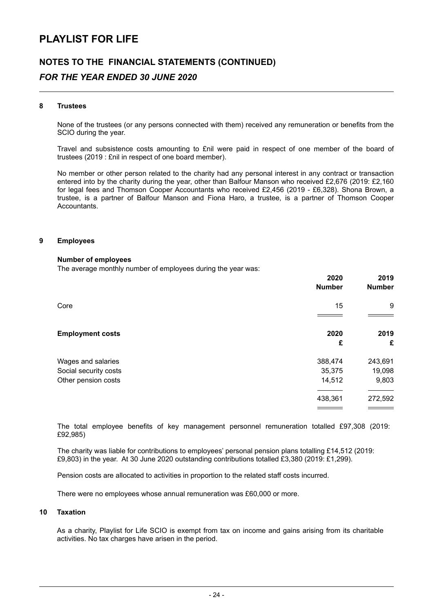### **NOTES TO THE FINANCIAL STATEMENTS (CONTINUED)** *FOR THE YEAR ENDED 30 JUNE 2020*

#### **8 Trustees**

None of the trustees (or any persons connected with them) received any remuneration or benefits from the SCIO during the year.

Travel and subsistence costs amounting to £nil were paid in respect of one member of the board of trustees (2019 : £nil in respect of one board member).

No member or other person related to the charity had any personal interest in any contract or transaction entered into by the charity during the year, other than Balfour Manson who received £2,676 (2019: £2,160 for legal fees and Thomson Cooper Accountants who received £2,456 (2019 - £6,328). Shona Brown, a trustee, is a partner of Balfour Manson and Fiona Haro, a trustee, is a partner of Thomson Cooper Accountants.

#### **9 Employees**

#### **Number of employees**

The average monthly number of employees during the year was:

|                         | 2020<br><b>Number</b> | 2019<br><b>Number</b> |
|-------------------------|-----------------------|-----------------------|
| Core                    | 15                    | 9                     |
| <b>Employment costs</b> | 2020<br>£             | 2019<br>£             |
| Wages and salaries      | 388,474               | 243,691               |
| Social security costs   | 35,375                | 19,098                |
| Other pension costs     | 14,512                | 9,803                 |
|                         | 438,361               | 272,592               |
|                         |                       |                       |

The total employee benefits of key management personnel remuneration totalled £97,308 (2019: £92,985)

The charity was liable for contributions to employees' personal pension plans totalling £14,512 (2019: £9,803) in the year. At 30 June 2020 outstanding contributions totalled £3,380 (2019: £1,299).

Pension costs are allocated to activities in proportion to the related staff costs incurred.

There were no employees whose annual remuneration was £60,000 or more.

#### **10 Taxation**

As a charity, Playlist for Life SCIO is exempt from tax on income and gains arising from its charitable activities. No tax charges have arisen in the period.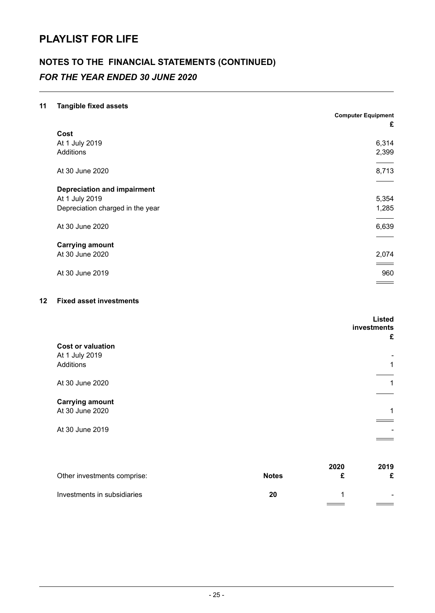### **NOTES TO THE FINANCIAL STATEMENTS (CONTINUED)** *FOR THE YEAR ENDED 30 JUNE 2020*

### **11 Tangible fixed assets**

|                                    | <b>Computer Equipment</b> |
|------------------------------------|---------------------------|
| Cost                               | £                         |
| At 1 July 2019                     | 6,314                     |
| Additions                          | 2,399                     |
| At 30 June 2020                    | 8,713                     |
| <b>Depreciation and impairment</b> |                           |
| At 1 July 2019                     | 5,354                     |
| Depreciation charged in the year   | 1,285                     |
| At 30 June 2020                    | 6,639                     |
| <b>Carrying amount</b>             |                           |
| At 30 June 2020                    | 2,074                     |
|                                    |                           |
| At 30 June 2019                    | 960                       |
|                                    |                           |

### **12 Fixed asset investments**

|                                                         | <b>Listed</b><br>investments<br>£ |
|---------------------------------------------------------|-----------------------------------|
| <b>Cost or valuation</b><br>At 1 July 2019<br>Additions | $\overline{\phantom{0}}$<br>1     |
| At 30 June 2020                                         | 1                                 |
| <b>Carrying amount</b><br>At 30 June 2020               | 1                                 |
| At 30 June 2019                                         | $\overline{\phantom{a}}$          |

| Other investments comprise: | <b>Notes</b> | 2020 | 2019                     |
|-----------------------------|--------------|------|--------------------------|
| Investments in subsidiaries | 20           |      | $\overline{\phantom{0}}$ |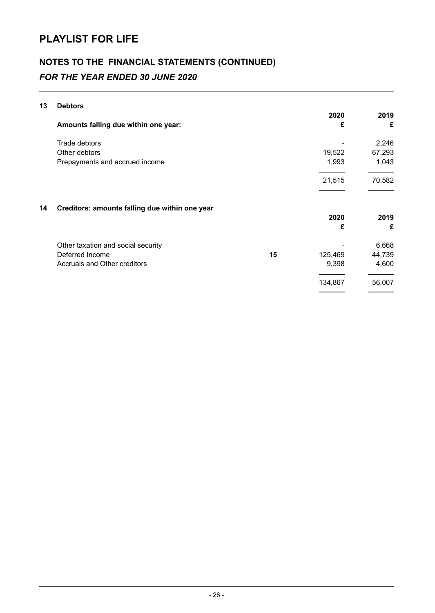### **NOTES TO THE FINANCIAL STATEMENTS (CONTINUED)** *FOR THE YEAR ENDED 30 JUNE 2020*

### **13 Debtors 2020 2019 Amounts falling due within one year: £ £** Trade debtors **2,246** Other debtors 67,293 Prepayments and accrued income 1,043 21,515 70,582 **14 Creditors: amounts falling due within one year 2020 2019 £ £** Other taxation and social security and the control of the control of the control of the control of the 6,668 Deferred Income **15** 125,469 44,739 Accruals and Other creditors and  $\frac{9,398}{4,600}$ 134,867 56,007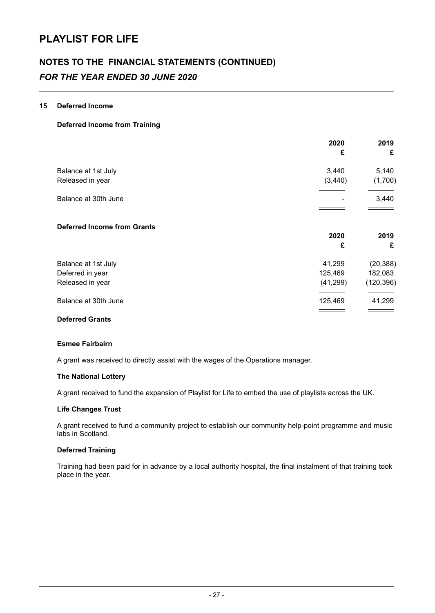### **NOTES TO THE FINANCIAL STATEMENTS (CONTINUED)** *FOR THE YEAR ENDED 30 JUNE 2020*

#### **15 Deferred Income**

#### **Deferred Income from Training**

|                                    | 2020<br>£ | 2019<br>£  |
|------------------------------------|-----------|------------|
| Balance at 1st July                | 3,440     | 5,140      |
| Released in year                   | (3, 440)  | (1,700)    |
| Balance at 30th June               |           | 3,440      |
| <b>Deferred Income from Grants</b> |           |            |
|                                    | 2020<br>£ | 2019<br>£  |
| Balance at 1st July                | 41,299    | (20, 388)  |
| Deferred in year                   | 125,469   | 182,083    |
| Released in year                   | (41, 299) | (120, 396) |
| Balance at 30th June               | 125,469   | 41,299     |
|                                    |           |            |

### **Deferred Grants**

#### **Esmee Fairbairn**

A grant was received to directly assist with the wages of the Operations manager.

#### **The National Lottery**

A grant received to fund the expansion of Playlist for Life to embed the use of playlists across the UK.

#### **Life Changes Trust**

A grant received to fund a community project to establish our community help-point programme and music labs in Scotland.

### **Deferred Training**

Training had been paid for in advance by a local authority hospital, the final instalment of that training took place in the year.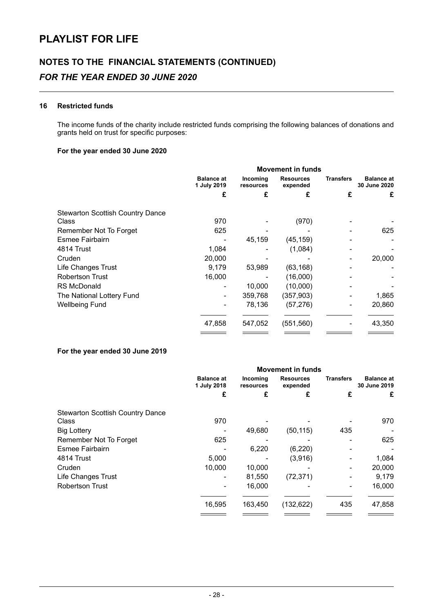### **NOTES TO THE FINANCIAL STATEMENTS (CONTINUED)** *FOR THE YEAR ENDED 30 JUNE 2020*

#### **16 Restricted funds**

The income funds of the charity include restricted funds comprising the following balances of donations and grants held on trust for specific purposes:

### **For the year ended 30 June 2020**

|                                         | <b>Movement in funds</b>         |                       |                              |                  |                                   |
|-----------------------------------------|----------------------------------|-----------------------|------------------------------|------------------|-----------------------------------|
|                                         | <b>Balance at</b><br>1 July 2019 | Incoming<br>resources | <b>Resources</b><br>expended | <b>Transfers</b> | <b>Balance at</b><br>30 June 2020 |
|                                         | £                                | £                     | £                            | £                | £                                 |
| <b>Stewarton Scottish Country Dance</b> |                                  |                       |                              |                  |                                   |
| Class                                   | 970                              |                       | (970)                        |                  |                                   |
| Remember Not To Forget                  | 625                              |                       |                              |                  | 625                               |
| Esmee Fairbairn                         |                                  | 45,159                | (45, 159)                    |                  |                                   |
| 4814 Trust                              | 1,084                            |                       | (1,084)                      |                  |                                   |
| Cruden                                  | 20,000                           |                       |                              |                  | 20,000                            |
| Life Changes Trust                      | 9,179                            | 53,989                | (63, 168)                    |                  |                                   |
| <b>Robertson Trust</b>                  | 16,000                           |                       | (16,000)                     |                  |                                   |
| <b>RS McDonald</b>                      |                                  | 10,000                | (10,000)                     |                  |                                   |
| The National Lottery Fund               |                                  | 359,768               | (357, 903)                   |                  | 1,865                             |
| <b>Wellbeing Fund</b>                   |                                  | 78,136                | (57, 276)                    |                  | 20,860                            |
|                                         | 47,858                           | 547,052               | (551,560)                    |                  | 43,350                            |
|                                         |                                  |                       |                              |                  |                                   |

### **For the year ended 30 June 2019**

|                                         | <b>Movement in funds</b>         |                       |                              |                  |                                   |
|-----------------------------------------|----------------------------------|-----------------------|------------------------------|------------------|-----------------------------------|
|                                         | <b>Balance at</b><br>1 July 2018 | Incoming<br>resources | <b>Resources</b><br>expended | <b>Transfers</b> | <b>Balance at</b><br>30 June 2019 |
|                                         | £                                | £                     | £                            | £                | £                                 |
| <b>Stewarton Scottish Country Dance</b> |                                  |                       |                              |                  |                                   |
| <b>Class</b>                            | 970                              |                       |                              |                  | 970                               |
| <b>Big Lottery</b>                      |                                  | 49,680                | (50, 115)                    | 435              |                                   |
| Remember Not To Forget                  | 625                              |                       |                              |                  | 625                               |
| <b>Esmee Fairbairn</b>                  |                                  | 6,220                 | (6, 220)                     |                  |                                   |
| 4814 Trust                              | 5.000                            |                       | (3,916)                      |                  | 1,084                             |
| Cruden                                  | 10,000                           | 10,000                |                              |                  | 20,000                            |
| Life Changes Trust                      |                                  | 81,550                | (72, 371)                    |                  | 9,179                             |
| <b>Robertson Trust</b>                  |                                  | 16,000                |                              |                  | 16,000                            |
|                                         | 16,595                           | 163,450               | (132, 622)                   | 435              | 47,858                            |
|                                         |                                  |                       |                              |                  |                                   |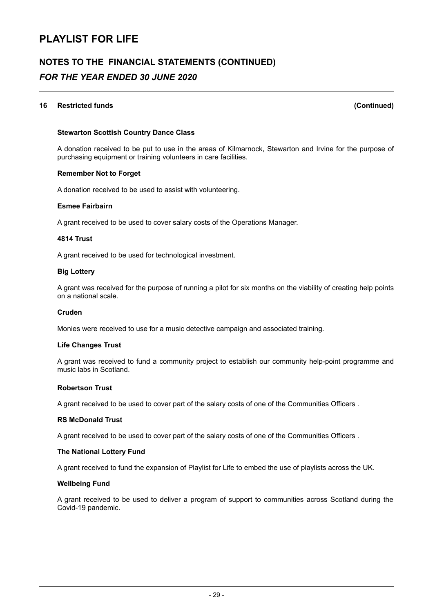### **NOTES TO THE FINANCIAL STATEMENTS (CONTINUED)** *FOR THE YEAR ENDED 30 JUNE 2020*

#### **16 Restricted funds (Continued)**

#### **Stewarton Scottish Country Dance Class**

A donation received to be put to use in the areas of Kilmarnock, Stewarton and Irvine for the purpose of purchasing equipment or training volunteers in care facilities.

#### **Remember Not to Forget**

A donation received to be used to assist with volunteering.

#### **Esmee Fairbairn**

A grant received to be used to cover salary costs of the Operations Manager.

#### **4814 Trust**

A grant received to be used for technological investment.

#### **Big Lottery**

A grant was received for the purpose of running a pilot for six months on the viability of creating help points on a national scale.

#### **Cruden**

Monies were received to use for a music detective campaign and associated training.

#### **Life Changes Trust**

A grant was received to fund a community project to establish our community help-point programme and music labs in Scotland.

#### **Robertson Trust**

A grant received to be used to cover part of the salary costs of one of the Communities Officers .

#### **RS McDonald Trust**

A grant received to be used to cover part of the salary costs of one of the Communities Officers .

#### **The National Lottery Fund**

A grant received to fund the expansion of Playlist for Life to embed the use of playlists across the UK.

#### **Wellbeing Fund**

A grant received to be used to deliver a program of support to communities across Scotland during the Covid-19 pandemic.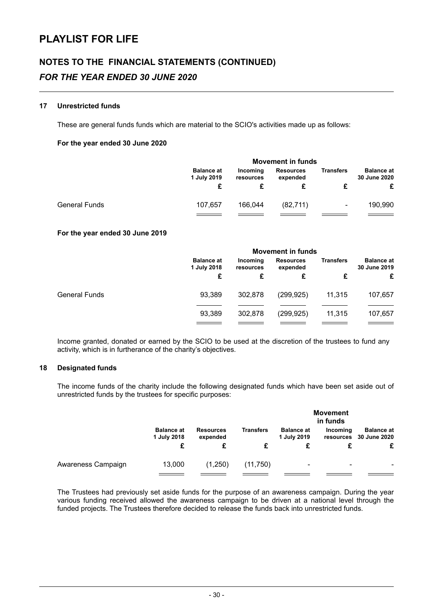### **NOTES TO THE FINANCIAL STATEMENTS (CONTINUED)** *FOR THE YEAR ENDED 30 JUNE 2020*

#### **17 Unrestricted funds**

These are general funds funds which are material to the SCIO's activities made up as follows:

#### **For the year ended 30 June 2020**

|                      | <b>Movement in funds</b>         |                       |                              |                  |                                   |
|----------------------|----------------------------------|-----------------------|------------------------------|------------------|-----------------------------------|
|                      | <b>Balance at</b><br>1 July 2019 | Incoming<br>resources | <b>Resources</b><br>expended | <b>Transfers</b> | <b>Balance at</b><br>30 June 2020 |
|                      | £                                |                       |                              |                  | £                                 |
| <b>General Funds</b> | 107.657                          | 166.044               | (82, 711)                    | -                | 190,990                           |
|                      |                                  |                       |                              |                  |                                   |

#### **For the year ended 30 June 2019**

|               | <b>Movement in funds</b>         |                       |                              |                  |                                   |
|---------------|----------------------------------|-----------------------|------------------------------|------------------|-----------------------------------|
|               | <b>Balance at</b><br>1 July 2018 | Incoming<br>resources | <b>Resources</b><br>expended | <b>Transfers</b> | <b>Balance at</b><br>30 June 2019 |
|               | £                                | £                     | £                            | £                | £                                 |
| General Funds | 93,389                           | 302.878               | (299, 925)                   | 11.315           | 107,657                           |
|               | 93,389                           | 302,878               | (299, 925)                   | 11.315           | 107,657                           |
|               |                                  |                       |                              |                  |                                   |

Income granted, donated or earned by the SCIO to be used at the discretion of the trustees to fund any activity, which is in furtherance of the charity's objectives.

#### **18 Designated funds**

The income funds of the charity include the following designated funds which have been set aside out of unrestricted funds by the trustees for specific purposes:

|                    | <b>Balance at</b><br>1 July 2018 | <b>Resources</b><br>expended | <b>Transfers</b> | <b>Balance at</b><br>1 July 2019 | Incoming                 | <b>Balance at</b><br>resources 30 June 2020 |
|--------------------|----------------------------------|------------------------------|------------------|----------------------------------|--------------------------|---------------------------------------------|
|                    |                                  |                              |                  |                                  |                          | £                                           |
| Awareness Campaign | 13,000                           | (1,250)                      | (11,750)         | $\overline{\phantom{0}}$         | $\overline{\phantom{0}}$ |                                             |
|                    |                                  |                              |                  |                                  |                          |                                             |

The Trustees had previously set aside funds for the purpose of an awareness campaign. During the year various funding received allowed the awareness campaign to be driven at a national level through the funded projects. The Trustees therefore decided to release the funds back into unrestricted funds.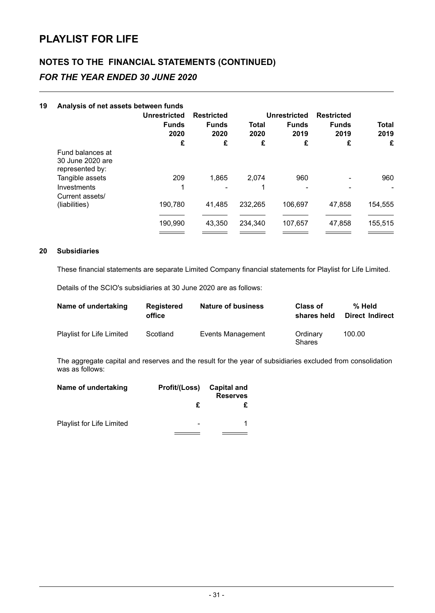## **NOTES TO THE FINANCIAL STATEMENTS (CONTINUED)**

### *FOR THE YEAR ENDED 30 JUNE 2020*

| 19 | Analysis of net assets between funds                    | Unrestricted              | <b>Restricted</b>         |                           | Unrestricted              | <b>Restricted</b>         |                           |
|----|---------------------------------------------------------|---------------------------|---------------------------|---------------------------|---------------------------|---------------------------|---------------------------|
|    |                                                         | <b>Funds</b><br>2020<br>£ | <b>Funds</b><br>2020<br>£ | <b>Total</b><br>2020<br>£ | <b>Funds</b><br>2019<br>£ | <b>Funds</b><br>2019<br>£ | <b>Total</b><br>2019<br>£ |
|    | Fund balances at<br>30 June 2020 are<br>represented by: |                           |                           |                           |                           |                           |                           |
|    | Tangible assets                                         | 209                       | 1,865                     | 2.074                     | 960                       |                           | 960                       |
|    | Investments<br>Current assets/                          | 1                         |                           |                           |                           |                           |                           |
|    | (liabilities)                                           | 190,780                   | 41.485                    | 232,265                   | 106,697                   | 47.858                    | 154,555                   |
|    |                                                         | 190,990                   | 43.350                    | 234,340                   | 107,657                   | 47,858                    | 155,515                   |
|    |                                                         |                           |                           |                           |                           |                           |                           |

### **20 Subsidiaries**

These financial statements are separate Limited Company financial statements for Playlist for Life Limited.

Details of the SCIO's subsidiaries at 30 June 2020 are as follows:

| Name of undertaking              | Registered<br>office | <b>Nature of business</b> | <b>Class of</b><br>shares held | % Held<br><b>Direct Indirect</b> |
|----------------------------------|----------------------|---------------------------|--------------------------------|----------------------------------|
| <b>Playlist for Life Limited</b> | Scotland             | Events Management         | Ordinary<br><b>Shares</b>      | 100.00                           |

The aggregate capital and reserves and the result for the year of subsidiaries excluded from consolidation was as follows:

| Profit/(Loss) Capital and | <b>Reserves</b> |
|---------------------------|-----------------|
| £                         |                 |
| $\overline{\phantom{0}}$  |                 |
|                           |                 |